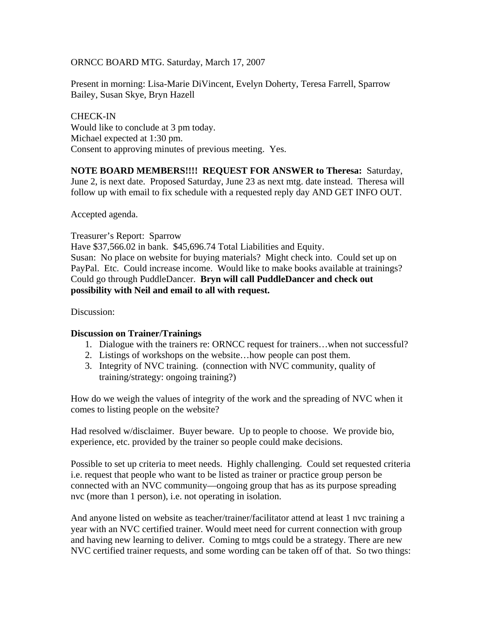## ORNCC BOARD MTG. Saturday, March 17, 2007

Present in morning: Lisa-Marie DiVincent, Evelyn Doherty, Teresa Farrell, Sparrow Bailey, Susan Skye, Bryn Hazell

CHECK-IN Would like to conclude at 3 pm today. Michael expected at 1:30 pm. Consent to approving minutes of previous meeting. Yes.

**NOTE BOARD MEMBERS!!!! REQUEST FOR ANSWER to Theresa:** Saturday, June 2, is next date. Proposed Saturday, June 23 as next mtg. date instead. Theresa will follow up with email to fix schedule with a requested reply day AND GET INFO OUT.

Accepted agenda.

Treasurer's Report: Sparrow

Have \$37,566.02 in bank. \$45,696.74 Total Liabilities and Equity. Susan: No place on website for buying materials? Might check into. Could set up on PayPal. Etc. Could increase income. Would like to make books available at trainings? Could go through PuddleDancer. **Bryn will call PuddleDancer and check out possibility with Neil and email to all with request.** 

Discussion:

## **Discussion on Trainer/Trainings**

- 1. Dialogue with the trainers re: ORNCC request for trainers…when not successful?
- 2. Listings of workshops on the website…how people can post them.
- 3. Integrity of NVC training. (connection with NVC community, quality of training/strategy: ongoing training?)

How do we weigh the values of integrity of the work and the spreading of NVC when it comes to listing people on the website?

Had resolved w/disclaimer. Buyer beware. Up to people to choose. We provide bio, experience, etc. provided by the trainer so people could make decisions.

Possible to set up criteria to meet needs. Highly challenging. Could set requested criteria i.e. request that people who want to be listed as trainer or practice group person be connected with an NVC community—ongoing group that has as its purpose spreading nvc (more than 1 person), i.e. not operating in isolation.

And anyone listed on website as teacher/trainer/facilitator attend at least 1 nvc training a year with an NVC certified trainer. Would meet need for current connection with group and having new learning to deliver. Coming to mtgs could be a strategy. There are new NVC certified trainer requests, and some wording can be taken off of that. So two things: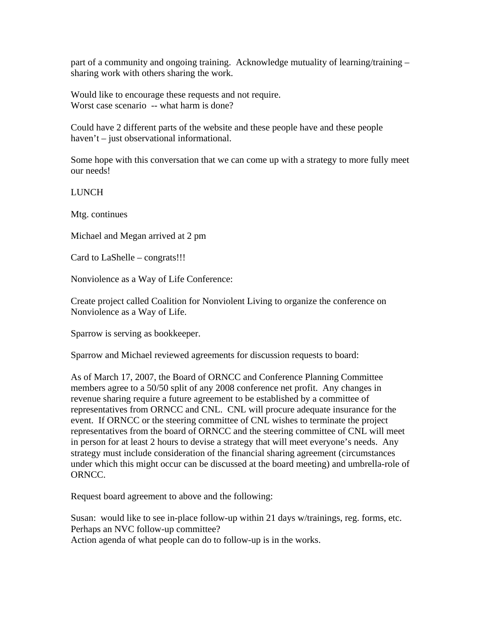part of a community and ongoing training. Acknowledge mutuality of learning/training – sharing work with others sharing the work.

Would like to encourage these requests and not require. Worst case scenario -- what harm is done?

Could have 2 different parts of the website and these people have and these people haven't – just observational informational.

Some hope with this conversation that we can come up with a strategy to more fully meet our needs!

LUNCH

Mtg. continues

Michael and Megan arrived at 2 pm

Card to LaShelle – congrats!!!

Nonviolence as a Way of Life Conference:

Create project called Coalition for Nonviolent Living to organize the conference on Nonviolence as a Way of Life.

Sparrow is serving as bookkeeper.

Sparrow and Michael reviewed agreements for discussion requests to board:

As of March 17, 2007, the Board of ORNCC and Conference Planning Committee members agree to a 50/50 split of any 2008 conference net profit. Any changes in revenue sharing require a future agreement to be established by a committee of representatives from ORNCC and CNL. CNL will procure adequate insurance for the event. If ORNCC or the steering committee of CNL wishes to terminate the project representatives from the board of ORNCC and the steering committee of CNL will meet in person for at least 2 hours to devise a strategy that will meet everyone's needs. Any strategy must include consideration of the financial sharing agreement (circumstances under which this might occur can be discussed at the board meeting) and umbrella-role of ORNCC.

Request board agreement to above and the following:

Susan: would like to see in-place follow-up within 21 days w/trainings, reg. forms, etc. Perhaps an NVC follow-up committee?

Action agenda of what people can do to follow-up is in the works.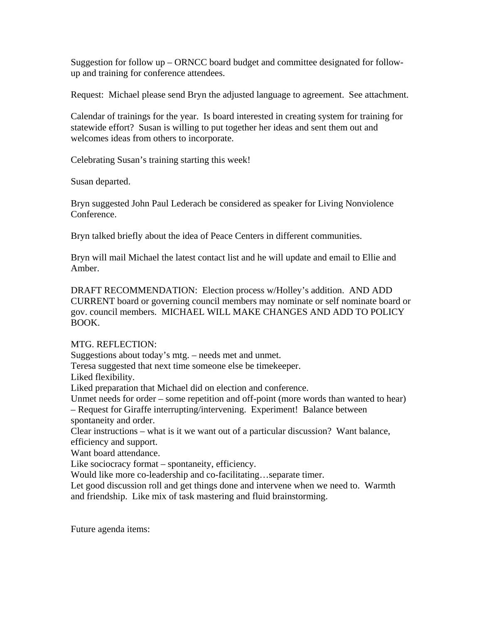Suggestion for follow up – ORNCC board budget and committee designated for followup and training for conference attendees.

Request: Michael please send Bryn the adjusted language to agreement. See attachment.

Calendar of trainings for the year. Is board interested in creating system for training for statewide effort? Susan is willing to put together her ideas and sent them out and welcomes ideas from others to incorporate.

Celebrating Susan's training starting this week!

Susan departed.

Bryn suggested John Paul Lederach be considered as speaker for Living Nonviolence Conference.

Bryn talked briefly about the idea of Peace Centers in different communities.

Bryn will mail Michael the latest contact list and he will update and email to Ellie and Amber.

DRAFT RECOMMENDATION: Election process w/Holley's addition. AND ADD CURRENT board or governing council members may nominate or self nominate board or gov. council members. MICHAEL WILL MAKE CHANGES AND ADD TO POLICY BOOK.

## MTG. REFLECTION:

Suggestions about today's mtg. – needs met and unmet.

Teresa suggested that next time someone else be timekeeper.

Liked flexibility.

Liked preparation that Michael did on election and conference.

Unmet needs for order – some repetition and off-point (more words than wanted to hear)

– Request for Giraffe interrupting/intervening. Experiment! Balance between spontaneity and order.

Clear instructions – what is it we want out of a particular discussion? Want balance, efficiency and support.

Want board attendance.

Like sociocracy format – spontaneity, efficiency.

Would like more co-leadership and co-facilitating…separate timer.

Let good discussion roll and get things done and intervene when we need to. Warmth and friendship. Like mix of task mastering and fluid brainstorming.

Future agenda items: